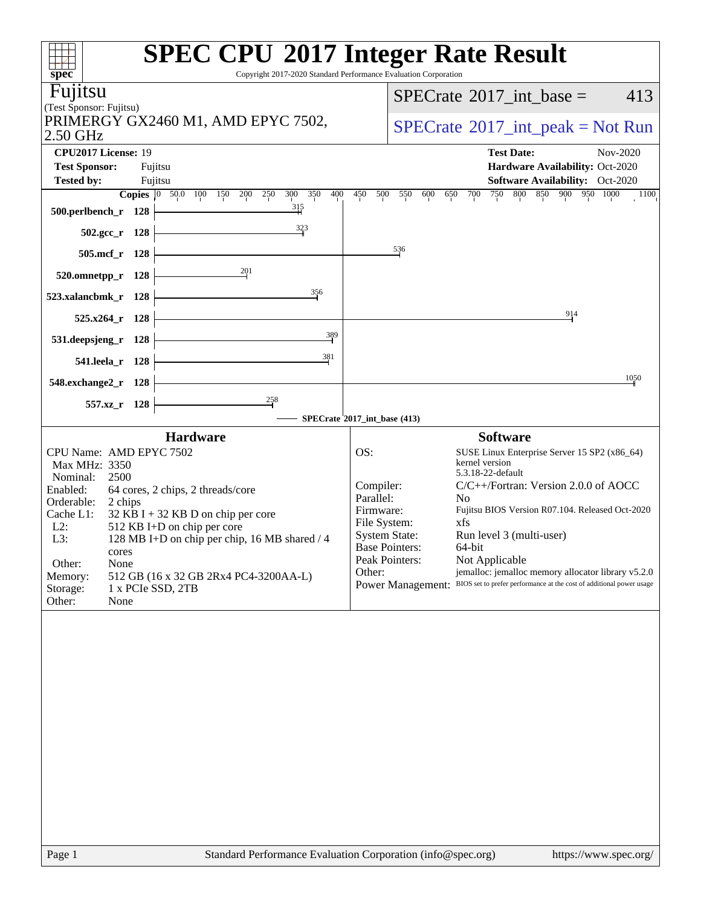| Copyright 2017-2020 Standard Performance Evaluation Corporation<br>spec <sup>®</sup>       | <b>SPEC CPU®2017 Integer Rate Result</b>                                               |
|--------------------------------------------------------------------------------------------|----------------------------------------------------------------------------------------|
| Fujitsu                                                                                    | $SPECTate$ <sup>®</sup> 2017_int_base =<br>413                                         |
| (Test Sponsor: Fujitsu)<br>PRIMERGY GX2460 M1, AMD EPYC 7502,                              |                                                                                        |
| 2.50 GHz                                                                                   | $SPECrate^{\circledast}2017\_int\_peak = Not Run$                                      |
| CPU2017 License: 19                                                                        | <b>Test Date:</b><br>Nov-2020                                                          |
| <b>Test Sponsor:</b><br>Fujitsu<br><b>Tested by:</b><br>Fujitsu                            | Hardware Availability: Oct-2020<br><b>Software Availability:</b> Oct-2020              |
| Copies $\boxed{0, 50.0}$<br>350<br>100 150<br>200<br>250<br>300<br>400                     | 800<br>450<br>750<br>850 900 950 1000<br>500<br>550<br>600<br>700<br>1100<br>650       |
| 315<br>500.perlbench_r 128                                                                 |                                                                                        |
| 323<br>$502.\text{gcc}_r$ 128                                                              |                                                                                        |
| $505$ .mcf_r<br>- 128                                                                      | 536                                                                                    |
| 201<br>520.omnetpp_r<br>128                                                                |                                                                                        |
| 356<br>523.xalancbmk_r<br>128                                                              |                                                                                        |
| 525.x264 r<br>128                                                                          | 914                                                                                    |
| 389<br>531.deepsjeng_r<br>128                                                              |                                                                                        |
| 381<br>541.leela r 128                                                                     |                                                                                        |
| 548.exchange2_r<br>128                                                                     | 1050                                                                                   |
| 258<br>$557.xz$ _r<br>128                                                                  |                                                                                        |
|                                                                                            | SPECrate <sup>d</sup> 2017_int_base (413)                                              |
| <b>Hardware</b>                                                                            | <b>Software</b>                                                                        |
| CPU Name: AMD EPYC 7502<br>Max MHz: 3350                                                   | OS:<br>SUSE Linux Enterprise Server 15 SP2 (x86_64)<br>kernel version                  |
| Nominal:<br>2500<br>Enabled:<br>64 cores, 2 chips, 2 threads/core                          | 5.3.18-22-default<br>Compiler:<br>C/C++/Fortran: Version 2.0.0 of AOCC                 |
| Orderable:<br>2 chips                                                                      | Parallel:<br>No                                                                        |
| Cache L1:<br>$32$ KB I + 32 KB D on chip per core<br>$L2$ :<br>512 KB I+D on chip per core | Fujitsu BIOS Version R07.104. Released Oct-2020<br>Firmware:<br>File System:<br>xfs    |
| 128 MB I+D on chip per chip, 16 MB shared / 4<br>L3:                                       | <b>System State:</b><br>Run level 3 (multi-user)                                       |
| cores                                                                                      | <b>Base Pointers:</b><br>64-bit<br>Peak Pointers:<br>Not Applicable                    |
| Other:<br>None<br>512 GB (16 x 32 GB 2Rx4 PC4-3200AA-L)<br>Memory:                         | jemalloc: jemalloc memory allocator library v5.2.0<br>Other:                           |
| 1 x PCIe SSD, 2TB<br>Storage:                                                              | Power Management: BIOS set to prefer performance at the cost of additional power usage |
| Other:<br>None                                                                             |                                                                                        |
|                                                                                            |                                                                                        |
|                                                                                            |                                                                                        |
|                                                                                            |                                                                                        |
|                                                                                            |                                                                                        |
|                                                                                            |                                                                                        |
|                                                                                            |                                                                                        |
|                                                                                            |                                                                                        |
|                                                                                            |                                                                                        |
|                                                                                            |                                                                                        |
|                                                                                            |                                                                                        |
|                                                                                            |                                                                                        |
|                                                                                            |                                                                                        |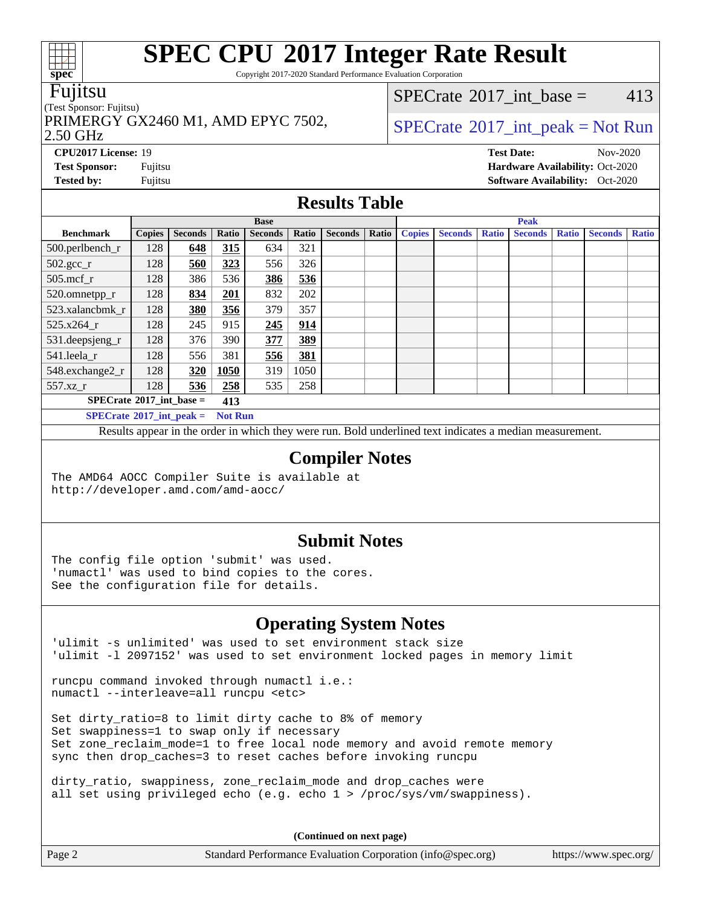Copyright 2017-2020 Standard Performance Evaluation Corporation

#### Fujitsu

#### (Test Sponsor: Fujitsu)

2.50 GHz PRIMERGY GX2460 M1, AMD EPYC 7502,  $\vert$  [SPECrate](http://www.spec.org/auto/cpu2017/Docs/result-fields.html#SPECrate2017intpeak) [2017\\_int\\_peak = N](http://www.spec.org/auto/cpu2017/Docs/result-fields.html#SPECrate2017intpeak)ot Run

[SPECrate](http://www.spec.org/auto/cpu2017/Docs/result-fields.html#SPECrate2017intbase)<sup>®</sup>2017 int base = 413

**[CPU2017 License:](http://www.spec.org/auto/cpu2017/Docs/result-fields.html#CPU2017License)** 19 **[Test Date:](http://www.spec.org/auto/cpu2017/Docs/result-fields.html#TestDate)** Nov-2020 **[Test Sponsor:](http://www.spec.org/auto/cpu2017/Docs/result-fields.html#TestSponsor)** Fujitsu **[Hardware Availability:](http://www.spec.org/auto/cpu2017/Docs/result-fields.html#HardwareAvailability)** Oct-2020 **[Tested by:](http://www.spec.org/auto/cpu2017/Docs/result-fields.html#Testedby)** Fujitsu **Fugital Exception Contract Contract Contract Contract Contract Contract Contract Contract Contract Contract Contract Contract Contract Contract Contract Contract Contract Contract Contract Contract Co** 

#### **[Results Table](http://www.spec.org/auto/cpu2017/Docs/result-fields.html#ResultsTable)**

|                                   |                |                |       | <b>Base</b>    |              |                | <b>Peak</b> |               |                |              |                |              |                |              |
|-----------------------------------|----------------|----------------|-------|----------------|--------------|----------------|-------------|---------------|----------------|--------------|----------------|--------------|----------------|--------------|
| <b>Benchmark</b>                  | <b>Copies</b>  | <b>Seconds</b> | Ratio | <b>Seconds</b> | <b>Ratio</b> | <b>Seconds</b> | Ratio       | <b>Copies</b> | <b>Seconds</b> | <b>Ratio</b> | <b>Seconds</b> | <b>Ratio</b> | <b>Seconds</b> | <b>Ratio</b> |
| $500.$ perlbench_r                | 128            | 648            | 315   | 634            | 321          |                |             |               |                |              |                |              |                |              |
| $502.\text{gcc\_r}$               | 128            | 560            | 323   | 556            | 326          |                |             |               |                |              |                |              |                |              |
| $505$ .mcf $r$                    | 128            | 386            | 536   | 386            | 536          |                |             |               |                |              |                |              |                |              |
| 520.omnetpp_r                     | 128            | 834            | 201   | 832            | 202          |                |             |               |                |              |                |              |                |              |
| 523.xalancbmk r                   | 128            | 380            | 356   | 379            | 357          |                |             |               |                |              |                |              |                |              |
| 525.x264 r                        | 128            | 245            | 915   | 245            | 914          |                |             |               |                |              |                |              |                |              |
| 531.deepsjeng_r                   | 128            | 376            | 390   | 377            | 389          |                |             |               |                |              |                |              |                |              |
| 541.leela_r                       | 128            | 556            | 381   | 556            | <b>381</b>   |                |             |               |                |              |                |              |                |              |
| 548.exchange2_r                   | 128            | 320            | 1050  | 319            | 1050         |                |             |               |                |              |                |              |                |              |
| 557.xz r                          | 128            | 536            | 258   | 535            | 258          |                |             |               |                |              |                |              |                |              |
| $SPECrate^{\circ}2017$ int base = | 413            |                |       |                |              |                |             |               |                |              |                |              |                |              |
| $SPECrate^{\circ}2017$ int peak = | <b>Not Run</b> |                |       |                |              |                |             |               |                |              |                |              |                |              |

Results appear in the [order in which they were run](http://www.spec.org/auto/cpu2017/Docs/result-fields.html#RunOrder). Bold underlined text [indicates a median measurement](http://www.spec.org/auto/cpu2017/Docs/result-fields.html#Median).

#### **[Compiler Notes](http://www.spec.org/auto/cpu2017/Docs/result-fields.html#CompilerNotes)**

The AMD64 AOCC Compiler Suite is available at <http://developer.amd.com/amd-aocc/>

#### **[Submit Notes](http://www.spec.org/auto/cpu2017/Docs/result-fields.html#SubmitNotes)**

The config file option 'submit' was used. 'numactl' was used to bind copies to the cores. See the configuration file for details.

#### **[Operating System Notes](http://www.spec.org/auto/cpu2017/Docs/result-fields.html#OperatingSystemNotes)**

'ulimit -s unlimited' was used to set environment stack size 'ulimit -l 2097152' was used to set environment locked pages in memory limit

runcpu command invoked through numactl i.e.: numactl --interleave=all runcpu <etc>

Set dirty\_ratio=8 to limit dirty cache to 8% of memory Set swappiness=1 to swap only if necessary Set zone\_reclaim\_mode=1 to free local node memory and avoid remote memory sync then drop\_caches=3 to reset caches before invoking runcpu

dirty\_ratio, swappiness, zone\_reclaim\_mode and drop\_caches were all set using privileged echo (e.g. echo 1 > /proc/sys/vm/swappiness).

**(Continued on next page)**

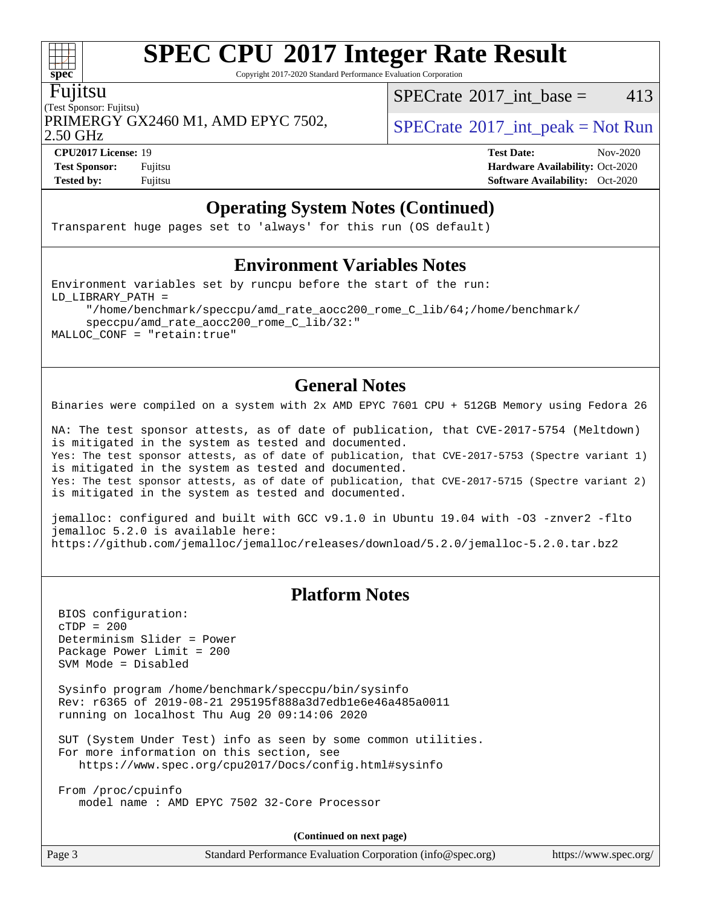Copyright 2017-2020 Standard Performance Evaluation Corporation

#### Fujitsu

(Test Sponsor: Fujitsu) PRIMERGY GX2460 M1, AMD EPYC 7502,  $\vert$  [SPECrate](http://www.spec.org/auto/cpu2017/Docs/result-fields.html#SPECrate2017intpeak) [2017\\_int\\_peak = N](http://www.spec.org/auto/cpu2017/Docs/result-fields.html#SPECrate2017intpeak)ot Run

[SPECrate](http://www.spec.org/auto/cpu2017/Docs/result-fields.html#SPECrate2017intbase)<sup>®</sup>2017 int base = 413

2.50 GHz

**[CPU2017 License:](http://www.spec.org/auto/cpu2017/Docs/result-fields.html#CPU2017License)** 19 **[Test Date:](http://www.spec.org/auto/cpu2017/Docs/result-fields.html#TestDate)** Nov-2020 **[Test Sponsor:](http://www.spec.org/auto/cpu2017/Docs/result-fields.html#TestSponsor)** Fujitsu **[Hardware Availability:](http://www.spec.org/auto/cpu2017/Docs/result-fields.html#HardwareAvailability)** Oct-2020 **[Tested by:](http://www.spec.org/auto/cpu2017/Docs/result-fields.html#Testedby)** Fujitsu **[Software Availability:](http://www.spec.org/auto/cpu2017/Docs/result-fields.html#SoftwareAvailability)** Oct-2020

#### **[Operating System Notes \(Continued\)](http://www.spec.org/auto/cpu2017/Docs/result-fields.html#OperatingSystemNotes)**

Transparent huge pages set to 'always' for this run (OS default)

#### **[Environment Variables Notes](http://www.spec.org/auto/cpu2017/Docs/result-fields.html#EnvironmentVariablesNotes)**

Environment variables set by runcpu before the start of the run: LD\_LIBRARY\_PATH = "/home/benchmark/speccpu/amd\_rate\_aocc200\_rome\_C\_lib/64;/home/benchmark/ speccpu/amd\_rate\_aocc200\_rome\_C\_lib/32:"

MALLOC\_CONF = "retain:true"

### **[General Notes](http://www.spec.org/auto/cpu2017/Docs/result-fields.html#GeneralNotes)**

Binaries were compiled on a system with 2x AMD EPYC 7601 CPU + 512GB Memory using Fedora 26

NA: The test sponsor attests, as of date of publication, that CVE-2017-5754 (Meltdown) is mitigated in the system as tested and documented. Yes: The test sponsor attests, as of date of publication, that CVE-2017-5753 (Spectre variant 1) is mitigated in the system as tested and documented. Yes: The test sponsor attests, as of date of publication, that CVE-2017-5715 (Spectre variant 2) is mitigated in the system as tested and documented.

jemalloc: configured and built with GCC v9.1.0 in Ubuntu 19.04 with -O3 -znver2 -flto jemalloc 5.2.0 is available here: <https://github.com/jemalloc/jemalloc/releases/download/5.2.0/jemalloc-5.2.0.tar.bz2>

#### **[Platform Notes](http://www.spec.org/auto/cpu2017/Docs/result-fields.html#PlatformNotes)**

 BIOS configuration: cTDP = 200 Determinism Slider = Power Package Power Limit = 200 SVM Mode = Disabled

 Sysinfo program /home/benchmark/speccpu/bin/sysinfo Rev: r6365 of 2019-08-21 295195f888a3d7edb1e6e46a485a0011 running on localhost Thu Aug 20 09:14:06 2020

 SUT (System Under Test) info as seen by some common utilities. For more information on this section, see <https://www.spec.org/cpu2017/Docs/config.html#sysinfo>

 From /proc/cpuinfo model name : AMD EPYC 7502 32-Core Processor

**(Continued on next page)**

| ige 3 |  |  |  |  |
|-------|--|--|--|--|
|-------|--|--|--|--|

Page 3 Standard Performance Evaluation Corporation [\(info@spec.org\)](mailto:info@spec.org) <https://www.spec.org/>

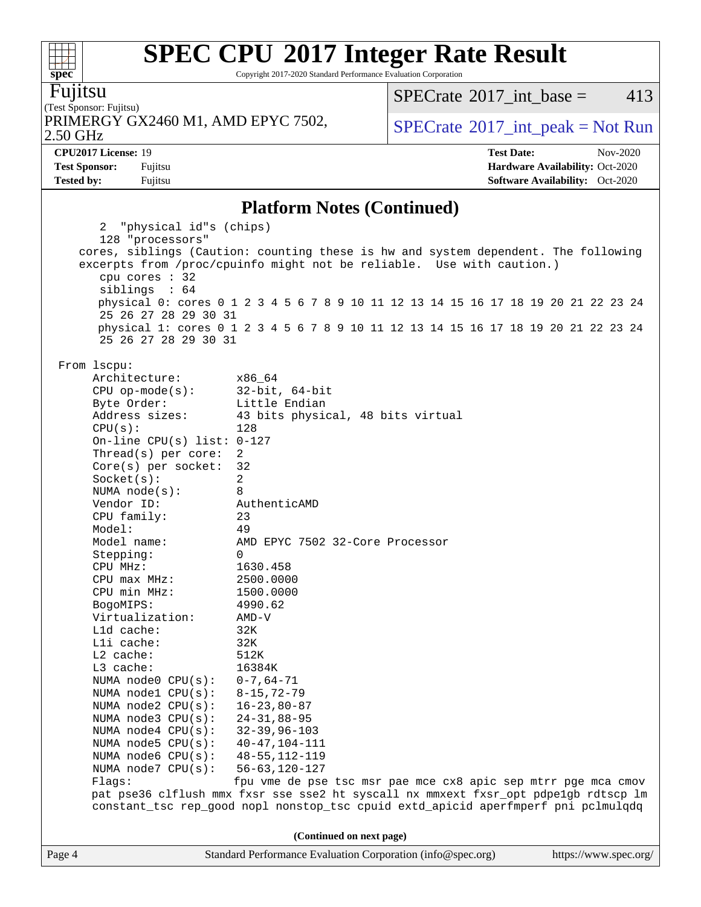Copyright 2017-2020 Standard Performance Evaluation Corporation

Fujitsu

(Test Sponsor: Fujitsu) 2.50 GHz PRIMERGY GX2460 M1, AMD EPYC 7502,  $\vert$  [SPECrate](http://www.spec.org/auto/cpu2017/Docs/result-fields.html#SPECrate2017intpeak)®[2017\\_int\\_peak = N](http://www.spec.org/auto/cpu2017/Docs/result-fields.html#SPECrate2017intpeak)ot Run

 $SPECTate$ <sup>®</sup>[2017\\_int\\_base =](http://www.spec.org/auto/cpu2017/Docs/result-fields.html#SPECrate2017intbase) 413

**[Test Sponsor:](http://www.spec.org/auto/cpu2017/Docs/result-fields.html#TestSponsor)** Fujitsu **[Hardware Availability:](http://www.spec.org/auto/cpu2017/Docs/result-fields.html#HardwareAvailability)** Oct-2020

**[CPU2017 License:](http://www.spec.org/auto/cpu2017/Docs/result-fields.html#CPU2017License)** 19 **[Test Date:](http://www.spec.org/auto/cpu2017/Docs/result-fields.html#TestDate)** Nov-2020

**[Platform Notes \(Continued\)](http://www.spec.org/auto/cpu2017/Docs/result-fields.html#PlatformNotes)**

**[Tested by:](http://www.spec.org/auto/cpu2017/Docs/result-fields.html#Testedby)** Fujitsu **[Software Availability:](http://www.spec.org/auto/cpu2017/Docs/result-fields.html#SoftwareAvailability)** Oct-2020

|        | 2 "physical id"s (chips)                                                                                   |                                                                                     |  |  |  |  |  |  |  |  |  |  |  |
|--------|------------------------------------------------------------------------------------------------------------|-------------------------------------------------------------------------------------|--|--|--|--|--|--|--|--|--|--|--|
|        | 128 "processors"                                                                                           |                                                                                     |  |  |  |  |  |  |  |  |  |  |  |
|        |                                                                                                            | cores, siblings (Caution: counting these is hw and system dependent. The following  |  |  |  |  |  |  |  |  |  |  |  |
|        | excerpts from /proc/cpuinfo might not be reliable. Use with caution.)                                      |                                                                                     |  |  |  |  |  |  |  |  |  |  |  |
|        | cpu cores : 32                                                                                             |                                                                                     |  |  |  |  |  |  |  |  |  |  |  |
|        | siblings : 64                                                                                              |                                                                                     |  |  |  |  |  |  |  |  |  |  |  |
|        | physical 0: cores 0 1 2 3 4 5 6 7 8 9 10 11 12 13 14 15 16 17 18 19 20 21 22 23 24<br>25 26 27 28 29 30 31 |                                                                                     |  |  |  |  |  |  |  |  |  |  |  |
|        |                                                                                                            | physical 1: cores 0 1 2 3 4 5 6 7 8 9 10 11 12 13 14 15 16 17 18 19 20 21 22 23 24  |  |  |  |  |  |  |  |  |  |  |  |
|        | 25 26 27 28 29 30 31                                                                                       |                                                                                     |  |  |  |  |  |  |  |  |  |  |  |
|        |                                                                                                            |                                                                                     |  |  |  |  |  |  |  |  |  |  |  |
|        | From 1scpu:                                                                                                |                                                                                     |  |  |  |  |  |  |  |  |  |  |  |
|        | Architecture:                                                                                              | x86 64                                                                              |  |  |  |  |  |  |  |  |  |  |  |
|        | $CPU op-mode(s):$                                                                                          | $32$ -bit, $64$ -bit                                                                |  |  |  |  |  |  |  |  |  |  |  |
|        | Little Endian<br>Byte Order:                                                                               |                                                                                     |  |  |  |  |  |  |  |  |  |  |  |
|        | Address sizes:<br>43 bits physical, 48 bits virtual                                                        |                                                                                     |  |  |  |  |  |  |  |  |  |  |  |
|        | CPU(s):<br>128                                                                                             |                                                                                     |  |  |  |  |  |  |  |  |  |  |  |
|        | On-line CPU(s) list: $0-127$                                                                               |                                                                                     |  |  |  |  |  |  |  |  |  |  |  |
|        | Thread(s) per core:<br>2                                                                                   |                                                                                     |  |  |  |  |  |  |  |  |  |  |  |
|        | $Core(s)$ per socket:<br>32                                                                                |                                                                                     |  |  |  |  |  |  |  |  |  |  |  |
|        | Socket(s):<br>$\overline{2}$                                                                               |                                                                                     |  |  |  |  |  |  |  |  |  |  |  |
|        | NUMA $node(s):$                                                                                            | 8                                                                                   |  |  |  |  |  |  |  |  |  |  |  |
|        | Vendor ID:                                                                                                 | AuthenticAMD                                                                        |  |  |  |  |  |  |  |  |  |  |  |
|        | CPU family:                                                                                                | 23                                                                                  |  |  |  |  |  |  |  |  |  |  |  |
|        | Model:                                                                                                     | 49                                                                                  |  |  |  |  |  |  |  |  |  |  |  |
|        | Model name:                                                                                                | AMD EPYC 7502 32-Core Processor                                                     |  |  |  |  |  |  |  |  |  |  |  |
|        | Stepping:                                                                                                  | $\Omega$                                                                            |  |  |  |  |  |  |  |  |  |  |  |
|        | CPU MHz:                                                                                                   | 1630.458                                                                            |  |  |  |  |  |  |  |  |  |  |  |
|        | $CPU$ max $MHz$ :                                                                                          | 2500.0000                                                                           |  |  |  |  |  |  |  |  |  |  |  |
|        | CPU min MHz:                                                                                               | 1500.0000                                                                           |  |  |  |  |  |  |  |  |  |  |  |
|        | BogoMIPS:                                                                                                  | 4990.62                                                                             |  |  |  |  |  |  |  |  |  |  |  |
|        | Virtualization:                                                                                            | $AMD-V$                                                                             |  |  |  |  |  |  |  |  |  |  |  |
|        | L1d cache:                                                                                                 | 32K                                                                                 |  |  |  |  |  |  |  |  |  |  |  |
|        | Lli cache:                                                                                                 | 32K                                                                                 |  |  |  |  |  |  |  |  |  |  |  |
|        | $L2$ cache:                                                                                                | 512K                                                                                |  |  |  |  |  |  |  |  |  |  |  |
|        | L3 cache:                                                                                                  | 16384K                                                                              |  |  |  |  |  |  |  |  |  |  |  |
|        | NUMA node0 $CPU(s): 0-7, 64-71$                                                                            |                                                                                     |  |  |  |  |  |  |  |  |  |  |  |
|        | NUMA node1 $CPU(s): 8-15, 72-79$                                                                           |                                                                                     |  |  |  |  |  |  |  |  |  |  |  |
|        | NUMA $node2$ $CPU(s):$                                                                                     | 16-23,80-87                                                                         |  |  |  |  |  |  |  |  |  |  |  |
|        | NUMA $node3$ $CPU(s):$                                                                                     | $24 - 31, 88 - 95$                                                                  |  |  |  |  |  |  |  |  |  |  |  |
|        | NUMA node4 CPU(s): 32-39,96-103                                                                            |                                                                                     |  |  |  |  |  |  |  |  |  |  |  |
|        | NUMA $node5$ $CPU(s):$                                                                                     | 40-47,104-111                                                                       |  |  |  |  |  |  |  |  |  |  |  |
|        | NUMA node6 CPU(s): 48-55, 112-119                                                                          |                                                                                     |  |  |  |  |  |  |  |  |  |  |  |
|        | NUMA node7 CPU(s):                                                                                         | 56-63,120-127                                                                       |  |  |  |  |  |  |  |  |  |  |  |
|        | Flags:                                                                                                     | fpu vme de pse tsc msr pae mce cx8 apic sep mtrr pge mca cmov                       |  |  |  |  |  |  |  |  |  |  |  |
|        |                                                                                                            | pat pse36 clflush mmx fxsr sse sse2 ht syscall nx mmxext fxsr_opt pdpe1gb rdtscp lm |  |  |  |  |  |  |  |  |  |  |  |
|        |                                                                                                            | constant_tsc rep_good nopl nonstop_tsc cpuid extd_apicid aperfmperf pni pclmulqdq   |  |  |  |  |  |  |  |  |  |  |  |
|        |                                                                                                            |                                                                                     |  |  |  |  |  |  |  |  |  |  |  |
|        |                                                                                                            | (Continued on next page)                                                            |  |  |  |  |  |  |  |  |  |  |  |
| Page 4 | Standard Performance Evaluation Corporation (info@spec.org)<br>https://www.spec.org/                       |                                                                                     |  |  |  |  |  |  |  |  |  |  |  |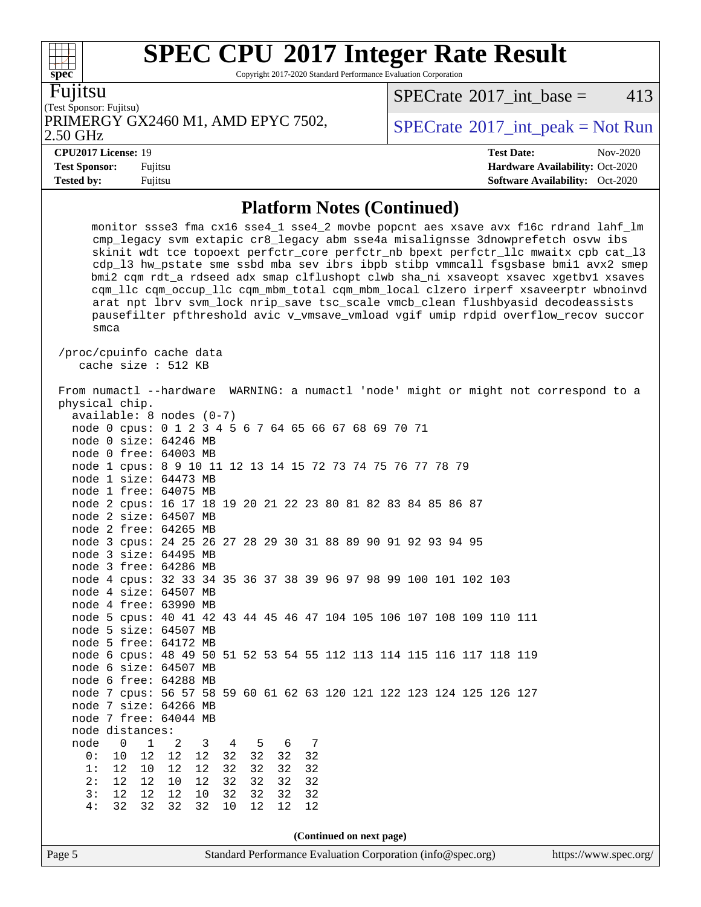Copyright 2017-2020 Standard Performance Evaluation Corporation

Fujitsu

(Test Sponsor: Fujitsu) PRIMERGY GX2460 M1, AMD EPYC 7502,  $\vert$  [SPECrate](http://www.spec.org/auto/cpu2017/Docs/result-fields.html#SPECrate2017intpeak) [2017\\_int\\_peak = N](http://www.spec.org/auto/cpu2017/Docs/result-fields.html#SPECrate2017intpeak)ot Run

 $SPECTate$ <sup>®</sup>[2017\\_int\\_base =](http://www.spec.org/auto/cpu2017/Docs/result-fields.html#SPECrate2017intbase) 413

2.50 GHz

**[CPU2017 License:](http://www.spec.org/auto/cpu2017/Docs/result-fields.html#CPU2017License)** 19 **[Test Date:](http://www.spec.org/auto/cpu2017/Docs/result-fields.html#TestDate)** Nov-2020 **[Test Sponsor:](http://www.spec.org/auto/cpu2017/Docs/result-fields.html#TestSponsor)** Fujitsu **[Hardware Availability:](http://www.spec.org/auto/cpu2017/Docs/result-fields.html#HardwareAvailability)** Oct-2020 **[Tested by:](http://www.spec.org/auto/cpu2017/Docs/result-fields.html#Testedby)** Fujitsu **[Software Availability:](http://www.spec.org/auto/cpu2017/Docs/result-fields.html#SoftwareAvailability)** Oct-2020

#### **[Platform Notes \(Continued\)](http://www.spec.org/auto/cpu2017/Docs/result-fields.html#PlatformNotes)**

 monitor ssse3 fma cx16 sse4\_1 sse4\_2 movbe popcnt aes xsave avx f16c rdrand lahf\_lm cmp\_legacy svm extapic cr8\_legacy abm sse4a misalignsse 3dnowprefetch osvw ibs skinit wdt tce topoext perfctr\_core perfctr\_nb bpext perfctr\_llc mwaitx cpb cat\_l3 cdp\_l3 hw\_pstate sme ssbd mba sev ibrs ibpb stibp vmmcall fsgsbase bmi1 avx2 smep bmi2 cqm rdt\_a rdseed adx smap clflushopt clwb sha\_ni xsaveopt xsavec xgetbv1 xsaves cqm\_llc cqm\_occup\_llc cqm\_mbm\_total cqm\_mbm\_local clzero irperf xsaveerptr wbnoinvd arat npt lbrv svm\_lock nrip\_save tsc\_scale vmcb\_clean flushbyasid decodeassists pausefilter pfthreshold avic v\_vmsave\_vmload vgif umip rdpid overflow\_recov succor smca

 /proc/cpuinfo cache data cache size : 512 KB

|        | From numactl --hardware WARNING: a numactl 'node' might or might not correspond to a |       |                |                |      |    |    |  |                          |                                                             |  |  |  |                       |
|--------|--------------------------------------------------------------------------------------|-------|----------------|----------------|------|----|----|--|--------------------------|-------------------------------------------------------------|--|--|--|-----------------------|
|        | physical chip.                                                                       |       |                |                |      |    |    |  |                          |                                                             |  |  |  |                       |
|        | $available: 8 nodes (0-7)$                                                           |       |                |                |      |    |    |  |                          |                                                             |  |  |  |                       |
|        | node 0 cpus: 0 1 2 3 4 5 6 7 64 65 66 67 68 69 70 71                                 |       |                |                |      |    |    |  |                          |                                                             |  |  |  |                       |
|        | node 0 size: 64246 MB                                                                |       |                |                |      |    |    |  |                          |                                                             |  |  |  |                       |
|        | node 0 free: 64003 MB                                                                |       |                |                |      |    |    |  |                          |                                                             |  |  |  |                       |
|        | node 1 cpus: 8 9 10 11 12 13 14 15 72 73 74 75 76 77 78 79                           |       |                |                |      |    |    |  |                          |                                                             |  |  |  |                       |
|        | node 1 size: 64473 MB                                                                |       |                |                |      |    |    |  |                          |                                                             |  |  |  |                       |
|        | node 1 free: 64075 MB                                                                |       |                |                |      |    |    |  |                          |                                                             |  |  |  |                       |
|        | node 2 cpus: 16 17 18 19 20 21 22 23 80 81 82 83 84 85 86 87                         |       |                |                |      |    |    |  |                          |                                                             |  |  |  |                       |
|        | node 2 size: 64507 MB                                                                |       |                |                |      |    |    |  |                          |                                                             |  |  |  |                       |
|        | node 2 free: 64265 MB                                                                |       |                |                |      |    |    |  |                          |                                                             |  |  |  |                       |
|        | node 3 cpus: 24 25 26 27 28 29 30 31 88 89 90 91 92 93 94 95                         |       |                |                |      |    |    |  |                          |                                                             |  |  |  |                       |
|        | node 3 size: 64495 MB                                                                |       |                |                |      |    |    |  |                          |                                                             |  |  |  |                       |
|        | node 3 free: 64286 MB                                                                |       |                |                |      |    |    |  |                          |                                                             |  |  |  |                       |
|        | node 4 cpus: 32 33 34 35 36 37 38 39 96 97 98 99 100 101 102 103                     |       |                |                |      |    |    |  |                          |                                                             |  |  |  |                       |
|        | node 4 size: 64507 MB                                                                |       |                |                |      |    |    |  |                          |                                                             |  |  |  |                       |
|        | node 4 free: 63990 MB                                                                |       |                |                |      |    |    |  |                          |                                                             |  |  |  |                       |
|        | node 5 cpus: 40 41 42 43 44 45 46 47 104 105 106 107 108 109 110 111                 |       |                |                |      |    |    |  |                          |                                                             |  |  |  |                       |
|        | node 5 size: 64507 MB                                                                |       |                |                |      |    |    |  |                          |                                                             |  |  |  |                       |
|        | node 5 free: 64172 MB                                                                |       |                |                |      |    |    |  |                          |                                                             |  |  |  |                       |
|        | node 6 cpus: 48 49 50 51 52 53 54 55 112 113 114 115 116 117 118 119                 |       |                |                |      |    |    |  |                          |                                                             |  |  |  |                       |
|        | node 6 size: 64507 MB                                                                |       |                |                |      |    |    |  |                          |                                                             |  |  |  |                       |
|        | node 6 free: 64288 MB                                                                |       |                |                |      |    |    |  |                          |                                                             |  |  |  |                       |
|        | node 7 cpus: 56 57 58 59 60 61 62 63 120 121 122 123 124 125 126 127                 |       |                |                |      |    |    |  |                          |                                                             |  |  |  |                       |
|        | node 7 size: 64266 MB                                                                |       |                |                |      |    |    |  |                          |                                                             |  |  |  |                       |
|        | node 7 free: 64044 MB                                                                |       |                |                |      |    |    |  |                          |                                                             |  |  |  |                       |
|        | node distances:                                                                      |       |                |                |      |    |    |  |                          |                                                             |  |  |  |                       |
| node   | $\mathbf 0$<br>1                                                                     | 2     | $\overline{3}$ | $\overline{4}$ | $-5$ | 6  | -7 |  |                          |                                                             |  |  |  |                       |
| 0:     | 10                                                                                   | 12 12 | 12             | 32             | 32   | 32 | 32 |  |                          |                                                             |  |  |  |                       |
| 1:     | 12<br>10                                                                             | 12    | 12             | 32             | 32   | 32 | 32 |  |                          |                                                             |  |  |  |                       |
| 2:     | 12<br>12                                                                             | 10    | 12             | 32             | 32   | 32 | 32 |  |                          |                                                             |  |  |  |                       |
| 3:     | 12<br>12                                                                             | 12    | 10             | 32             | 32   | 32 | 32 |  |                          |                                                             |  |  |  |                       |
| 4:     | 32<br>32                                                                             | 32    | 32             | 10             | 12   | 12 | 12 |  |                          |                                                             |  |  |  |                       |
|        |                                                                                      |       |                |                |      |    |    |  |                          |                                                             |  |  |  |                       |
|        |                                                                                      |       |                |                |      |    |    |  | (Continued on next page) |                                                             |  |  |  |                       |
| Page 5 |                                                                                      |       |                |                |      |    |    |  |                          | Standard Performance Evaluation Corporation (info@spec.org) |  |  |  | https://www.spec.org/ |

 $+++$ **[spec](http://www.spec.org/)**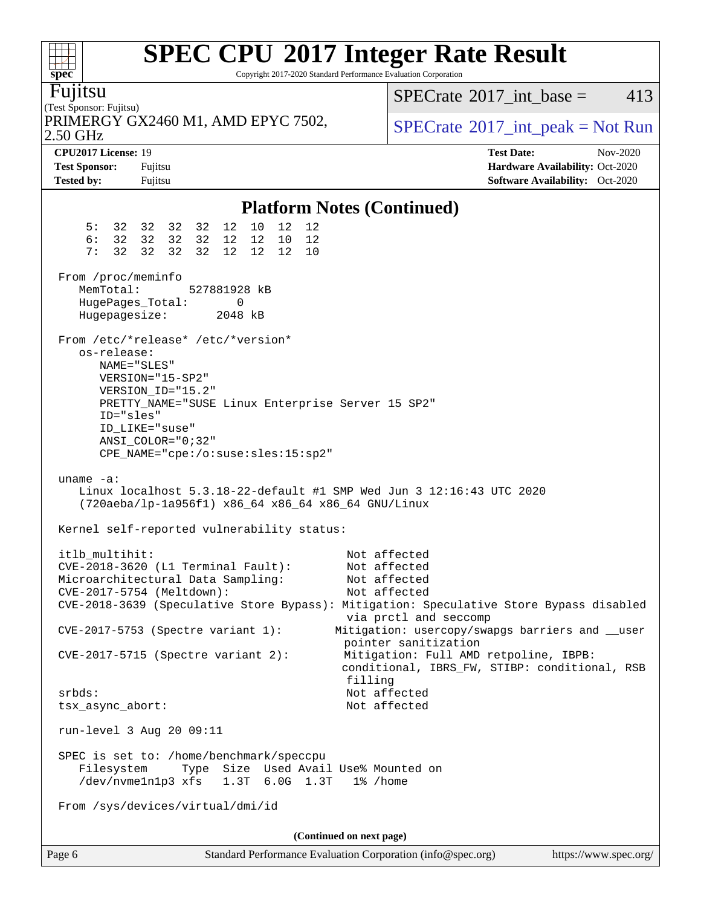Copyright 2017-2020 Standard Performance Evaluation Corporation

**[spec](http://www.spec.org/)**

 $+\!+\!$ 

Page 6 Standard Performance Evaluation Corporation [\(info@spec.org\)](mailto:info@spec.org) <https://www.spec.org/> (Test Sponsor: Fujitsu) Fujitsu 2.50 GHz PRIMERGY GX2460 M1, AMD EPYC 7502,  $\vert$  [SPECrate](http://www.spec.org/auto/cpu2017/Docs/result-fields.html#SPECrate2017intpeak) [2017\\_int\\_peak = N](http://www.spec.org/auto/cpu2017/Docs/result-fields.html#SPECrate2017intpeak)ot Run  $SPECTate@2017$  int base = 413 **[CPU2017 License:](http://www.spec.org/auto/cpu2017/Docs/result-fields.html#CPU2017License)** 19 **[Test Date:](http://www.spec.org/auto/cpu2017/Docs/result-fields.html#TestDate)** Nov-2020 **[Test Sponsor:](http://www.spec.org/auto/cpu2017/Docs/result-fields.html#TestSponsor)** Fujitsu **[Hardware Availability:](http://www.spec.org/auto/cpu2017/Docs/result-fields.html#HardwareAvailability)** Oct-2020 **[Tested by:](http://www.spec.org/auto/cpu2017/Docs/result-fields.html#Testedby)** Fujitsu **Fugital Exception Contract Contract Contract Contract Contract Contract Contract Contract Contract Contract Contract Contract Contract Contract Contract Contract Contract Contract Contract Contract Co [Platform Notes \(Continued\)](http://www.spec.org/auto/cpu2017/Docs/result-fields.html#PlatformNotes)** 5: 32 32 32 32 12 10 12 12 6: 32 32 32 32 12 12 10 12 7: 32 32 32 32 12 12 12 10 From /proc/meminfo MemTotal: 527881928 kB HugePages\_Total: 0<br>Hugepagesize: 2048 kB Hugepagesize: From /etc/\*release\* /etc/\*version\* os-release: NAME="SLES" VERSION="15-SP2" VERSION\_ID="15.2" PRETTY\_NAME="SUSE Linux Enterprise Server 15 SP2" ID="sles" ID\_LIKE="suse" ANSI\_COLOR="0;32" CPE\_NAME="cpe:/o:suse:sles:15:sp2" uname -a: Linux localhost 5.3.18-22-default #1 SMP Wed Jun 3 12:16:43 UTC 2020 (720aeba/lp-1a956f1) x86\_64 x86\_64 x86\_64 GNU/Linux Kernel self-reported vulnerability status: itlb\_multihit: Not affected CVE-2018-3620 (L1 Terminal Fault): Not affected Microarchitectural Data Sampling: Not affected CVE-2017-5754 (Meltdown): Not affected CVE-2018-3639 (Speculative Store Bypass): Mitigation: Speculative Store Bypass disabled via prctl and seccomp CVE-2017-5753 (Spectre variant 1): Mitigation: usercopy/swapgs barriers and \_\_user pointer sanitization CVE-2017-5715 (Spectre variant 2): Mitigation: Full AMD retpoline, IBPB: conditional, IBRS\_FW, STIBP: conditional, RSB filling srbds: Not affected tsx\_async\_abort: Not affected run-level 3 Aug 20 09:11 SPEC is set to: /home/benchmark/speccpu Filesystem Type Size Used Avail Use% Mounted on /dev/nvme1n1p3 xfs 1.3T 6.0G 1.3T 1% /home From /sys/devices/virtual/dmi/id **(Continued on next page)**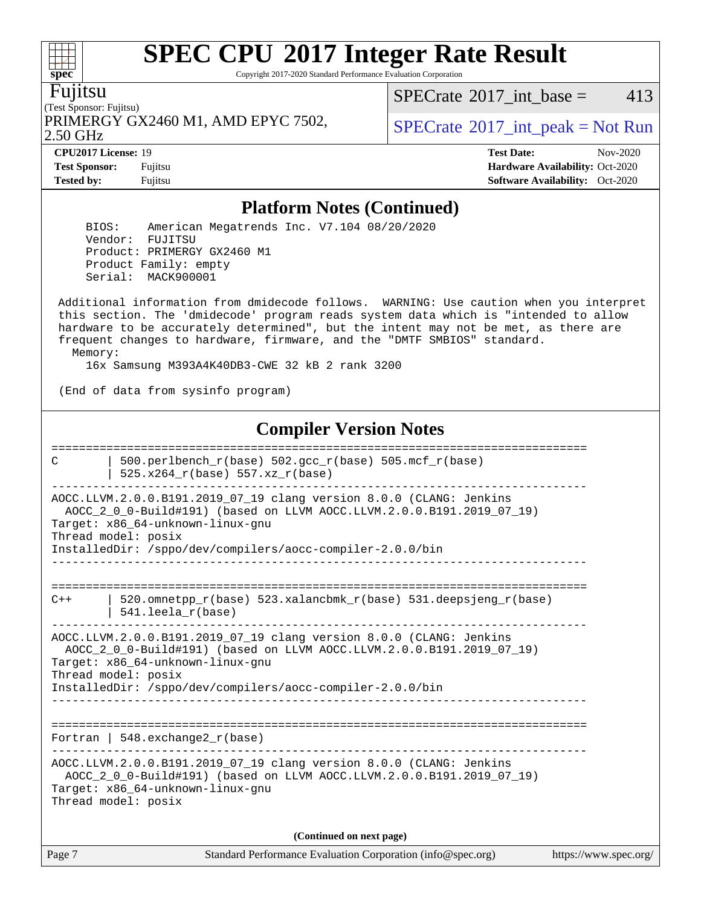Copyright 2017-2020 Standard Performance Evaluation Corporation

Fujitsu

(Test Sponsor: Fujitsu) 2.50 GHz PRIMERGY GX2460 M1, AMD EPYC 7502,  $\vert$  [SPECrate](http://www.spec.org/auto/cpu2017/Docs/result-fields.html#SPECrate2017intpeak) 2017 int peak = Not Run

[SPECrate](http://www.spec.org/auto/cpu2017/Docs/result-fields.html#SPECrate2017intbase)<sup>®</sup>2017 int base = 413

**[spec](http://www.spec.org/)**

 $+\!\!+\!\!$ 

**[Tested by:](http://www.spec.org/auto/cpu2017/Docs/result-fields.html#Testedby)** Fujitsu **Fugital Exception Contract Contract Contract Contract Contract Contract Contract Contract Contract Contract Contract Contract Contract Contract Contract Contract Contract Contract Contract Contract Co** 

**[CPU2017 License:](http://www.spec.org/auto/cpu2017/Docs/result-fields.html#CPU2017License)** 19 **[Test Date:](http://www.spec.org/auto/cpu2017/Docs/result-fields.html#TestDate)** Nov-2020 **[Test Sponsor:](http://www.spec.org/auto/cpu2017/Docs/result-fields.html#TestSponsor)** Fujitsu **[Hardware Availability:](http://www.spec.org/auto/cpu2017/Docs/result-fields.html#HardwareAvailability)** Oct-2020

#### **[Platform Notes \(Continued\)](http://www.spec.org/auto/cpu2017/Docs/result-fields.html#PlatformNotes)**

 BIOS: American Megatrends Inc. V7.104 08/20/2020 Vendor: FUJITSU Product: PRIMERGY GX2460 M1 Product Family: empty Serial: MACK900001

 Additional information from dmidecode follows. WARNING: Use caution when you interpret this section. The 'dmidecode' program reads system data which is "intended to allow hardware to be accurately determined", but the intent may not be met, as there are frequent changes to hardware, firmware, and the "DMTF SMBIOS" standard. Memory:

16x Samsung M393A4K40DB3-CWE 32 kB 2 rank 3200

(End of data from sysinfo program)

### **[Compiler Version Notes](http://www.spec.org/auto/cpu2017/Docs/result-fields.html#CompilerVersionNotes)**

Page 7 Standard Performance Evaluation Corporation [\(info@spec.org\)](mailto:info@spec.org) <https://www.spec.org/> ============================================================================== C | 500.perlbench r(base) 502.gcc r(base) 505.mcf r(base) | 525.x264\_r(base) 557.xz\_r(base) ------------------------------------------------------------------------------ AOCC.LLVM.2.0.0.B191.2019\_07\_19 clang version 8.0.0 (CLANG: Jenkins AOCC\_2\_0\_0-Build#191) (based on LLVM AOCC.LLVM.2.0.0.B191.2019\_07\_19) Target: x86\_64-unknown-linux-gnu Thread model: posix InstalledDir: /sppo/dev/compilers/aocc-compiler-2.0.0/bin ------------------------------------------------------------------------------ ==============================================================================  $C++$  | 520.omnetpp\_r(base) 523.xalancbmk\_r(base) 531.deepsjeng\_r(base) | 541.leela\_r(base) ------------------------------------------------------------------------------ AOCC.LLVM.2.0.0.B191.2019\_07\_19 clang version 8.0.0 (CLANG: Jenkins AOCC\_2\_0\_0-Build#191) (based on LLVM AOCC.LLVM.2.0.0.B191.2019\_07\_19) Target: x86\_64-unknown-linux-gnu Thread model: posix InstalledDir: /sppo/dev/compilers/aocc-compiler-2.0.0/bin ------------------------------------------------------------------------------ ============================================================================== Fortran | 548.exchange2\_r(base) ------------------------------------------------------------------------------ AOCC.LLVM.2.0.0.B191.2019\_07\_19 clang version 8.0.0 (CLANG: Jenkins AOCC\_2\_0\_0-Build#191) (based on LLVM AOCC.LLVM.2.0.0.B191.2019\_07\_19) Target: x86\_64-unknown-linux-gnu Thread model: posix **(Continued on next page)**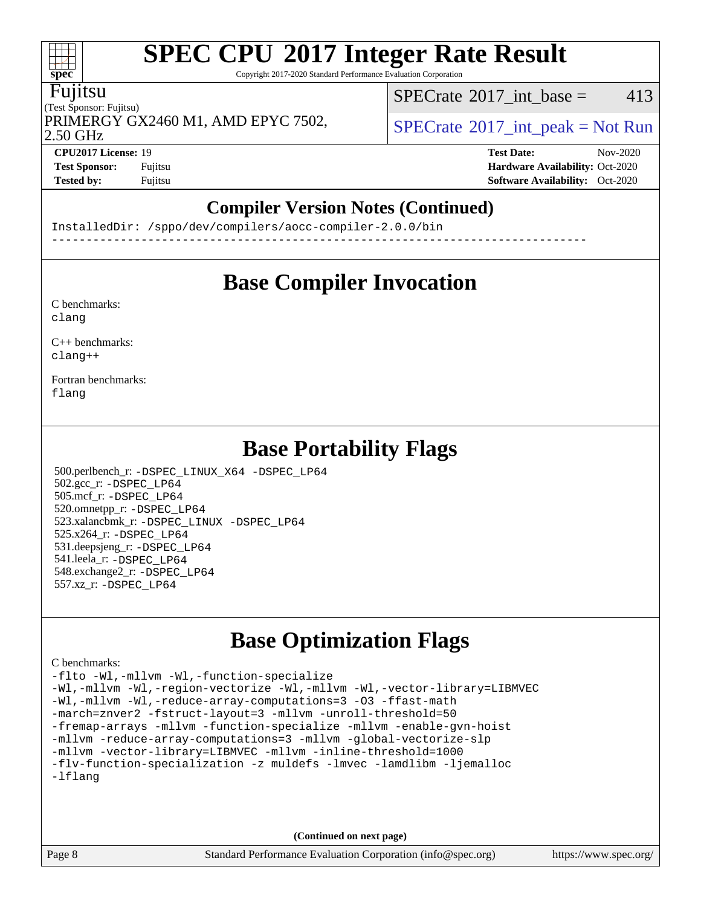Copyright 2017-2020 Standard Performance Evaluation Corporation

#### Fujitsu

(Test Sponsor: Fujitsu) 2.50 GHz PRIMERGY GX2460 M1, AMD EPYC 7502,  $\vert$  [SPECrate](http://www.spec.org/auto/cpu2017/Docs/result-fields.html#SPECrate2017intpeak) [2017\\_int\\_peak = N](http://www.spec.org/auto/cpu2017/Docs/result-fields.html#SPECrate2017intpeak)ot Run

[SPECrate](http://www.spec.org/auto/cpu2017/Docs/result-fields.html#SPECrate2017intbase)<sup>®</sup>2017 int base = 413

**[CPU2017 License:](http://www.spec.org/auto/cpu2017/Docs/result-fields.html#CPU2017License)** 19 **[Test Date:](http://www.spec.org/auto/cpu2017/Docs/result-fields.html#TestDate)** Nov-2020 **[Test Sponsor:](http://www.spec.org/auto/cpu2017/Docs/result-fields.html#TestSponsor)** Fujitsu **[Hardware Availability:](http://www.spec.org/auto/cpu2017/Docs/result-fields.html#HardwareAvailability)** Oct-2020 **[Tested by:](http://www.spec.org/auto/cpu2017/Docs/result-fields.html#Testedby)** Fujitsu **[Software Availability:](http://www.spec.org/auto/cpu2017/Docs/result-fields.html#SoftwareAvailability)** Oct-2020

### **[Compiler Version Notes \(Continued\)](http://www.spec.org/auto/cpu2017/Docs/result-fields.html#CompilerVersionNotes)**

InstalledDir: /sppo/dev/compilers/aocc-compiler-2.0.0/bin

### **[Base Compiler Invocation](http://www.spec.org/auto/cpu2017/Docs/result-fields.html#BaseCompilerInvocation)**

------------------------------------------------------------------------------

[C benchmarks](http://www.spec.org/auto/cpu2017/Docs/result-fields.html#Cbenchmarks): [clang](http://www.spec.org/cpu2017/results/res2020q4/cpu2017-20201124-24497.flags.html#user_CCbase_clang-c)

[C++ benchmarks:](http://www.spec.org/auto/cpu2017/Docs/result-fields.html#CXXbenchmarks) [clang++](http://www.spec.org/cpu2017/results/res2020q4/cpu2017-20201124-24497.flags.html#user_CXXbase_clang-cpp)

[Fortran benchmarks](http://www.spec.org/auto/cpu2017/Docs/result-fields.html#Fortranbenchmarks): [flang](http://www.spec.org/cpu2017/results/res2020q4/cpu2017-20201124-24497.flags.html#user_FCbase_flang)

### **[Base Portability Flags](http://www.spec.org/auto/cpu2017/Docs/result-fields.html#BasePortabilityFlags)**

 500.perlbench\_r: [-DSPEC\\_LINUX\\_X64](http://www.spec.org/cpu2017/results/res2020q4/cpu2017-20201124-24497.flags.html#b500.perlbench_r_basePORTABILITY_DSPEC_LINUX_X64) [-DSPEC\\_LP64](http://www.spec.org/cpu2017/results/res2020q4/cpu2017-20201124-24497.flags.html#b500.perlbench_r_baseEXTRA_PORTABILITY_DSPEC_LP64) 502.gcc\_r: [-DSPEC\\_LP64](http://www.spec.org/cpu2017/results/res2020q4/cpu2017-20201124-24497.flags.html#suite_baseEXTRA_PORTABILITY502_gcc_r_DSPEC_LP64) 505.mcf\_r: [-DSPEC\\_LP64](http://www.spec.org/cpu2017/results/res2020q4/cpu2017-20201124-24497.flags.html#suite_baseEXTRA_PORTABILITY505_mcf_r_DSPEC_LP64) 520.omnetpp\_r: [-DSPEC\\_LP64](http://www.spec.org/cpu2017/results/res2020q4/cpu2017-20201124-24497.flags.html#suite_baseEXTRA_PORTABILITY520_omnetpp_r_DSPEC_LP64) 523.xalancbmk\_r: [-DSPEC\\_LINUX](http://www.spec.org/cpu2017/results/res2020q4/cpu2017-20201124-24497.flags.html#b523.xalancbmk_r_basePORTABILITY_DSPEC_LINUX) [-DSPEC\\_LP64](http://www.spec.org/cpu2017/results/res2020q4/cpu2017-20201124-24497.flags.html#suite_baseEXTRA_PORTABILITY523_xalancbmk_r_DSPEC_LP64) 525.x264\_r: [-DSPEC\\_LP64](http://www.spec.org/cpu2017/results/res2020q4/cpu2017-20201124-24497.flags.html#suite_baseEXTRA_PORTABILITY525_x264_r_DSPEC_LP64) 531.deepsjeng\_r: [-DSPEC\\_LP64](http://www.spec.org/cpu2017/results/res2020q4/cpu2017-20201124-24497.flags.html#suite_baseEXTRA_PORTABILITY531_deepsjeng_r_DSPEC_LP64) 541.leela\_r: [-DSPEC\\_LP64](http://www.spec.org/cpu2017/results/res2020q4/cpu2017-20201124-24497.flags.html#suite_baseEXTRA_PORTABILITY541_leela_r_DSPEC_LP64) 548.exchange2\_r: [-DSPEC\\_LP64](http://www.spec.org/cpu2017/results/res2020q4/cpu2017-20201124-24497.flags.html#suite_baseEXTRA_PORTABILITY548_exchange2_r_DSPEC_LP64) 557.xz\_r: [-DSPEC\\_LP64](http://www.spec.org/cpu2017/results/res2020q4/cpu2017-20201124-24497.flags.html#suite_baseEXTRA_PORTABILITY557_xz_r_DSPEC_LP64)

### **[Base Optimization Flags](http://www.spec.org/auto/cpu2017/Docs/result-fields.html#BaseOptimizationFlags)**

#### [C benchmarks](http://www.spec.org/auto/cpu2017/Docs/result-fields.html#Cbenchmarks):

[-flto](http://www.spec.org/cpu2017/results/res2020q4/cpu2017-20201124-24497.flags.html#user_CCbase_aocc-flto) [-Wl,-mllvm -Wl,-function-specialize](http://www.spec.org/cpu2017/results/res2020q4/cpu2017-20201124-24497.flags.html#user_CCbase_F-function-specialize_7e7e661e57922243ee67c9a1251cb8910e607325179a0ce7f2884e09a6f5d4a5ef0ae4f37e8a2a11c95fc48e931f06dc2b6016f14b511fcb441e048bef1b065a) [-Wl,-mllvm -Wl,-region-vectorize](http://www.spec.org/cpu2017/results/res2020q4/cpu2017-20201124-24497.flags.html#user_CCbase_F-region-vectorize_fb6c6b5aa293c88efc6c7c2b52b20755e943585b1fe8658c35afef78727fff56e1a56891413c30e36b8e2a6f9a71126986319243e80eb6110b78b288f533c52b) [-Wl,-mllvm -Wl,-vector-library=LIBMVEC](http://www.spec.org/cpu2017/results/res2020q4/cpu2017-20201124-24497.flags.html#user_CCbase_F-use-vector-library_0a14b27fae317f283640384a31f7bfcc2bd4c1d0b5cfc618a3a430800c9b20217b00f61303eff223a3251b4f06ffbc9739dc5296db9d1fbb9ad24a3939d86d66) [-Wl,-mllvm -Wl,-reduce-array-computations=3](http://www.spec.org/cpu2017/results/res2020q4/cpu2017-20201124-24497.flags.html#user_CCbase_F-reduce-array-computations_b882aefe7a5dda4e33149f6299762b9a720dace3e498e13756f4c04e5a19edf5315c1f3993de2e61ec41e8c206231f84e05da7040e1bb5d69ba27d10a12507e4) [-O3](http://www.spec.org/cpu2017/results/res2020q4/cpu2017-20201124-24497.flags.html#user_CCbase_F-O3) [-ffast-math](http://www.spec.org/cpu2017/results/res2020q4/cpu2017-20201124-24497.flags.html#user_CCbase_aocc-ffast-math) [-march=znver2](http://www.spec.org/cpu2017/results/res2020q4/cpu2017-20201124-24497.flags.html#user_CCbase_aocc-march_3e2e19cff2eeef60c5d90b059483627c9ea47eca6d66670dbd53f9185f6439e27eb5e104cf773e9e8ab18c8842ce63e461a3e948d0214bd567ef3ade411bf467) [-fstruct-layout=3](http://www.spec.org/cpu2017/results/res2020q4/cpu2017-20201124-24497.flags.html#user_CCbase_F-struct-layout) [-mllvm -unroll-threshold=50](http://www.spec.org/cpu2017/results/res2020q4/cpu2017-20201124-24497.flags.html#user_CCbase_F-unroll-threshold_458874500b2c105d6d5cb4d7a611c40e2b16e9e3d26b355fea72d644c3673b4de4b3932662f0ed3dbec75c491a13da2d2ca81180bd779dc531083ef1e1e549dc) [-fremap-arrays](http://www.spec.org/cpu2017/results/res2020q4/cpu2017-20201124-24497.flags.html#user_CCbase_F-fremap-arrays) [-mllvm -function-specialize](http://www.spec.org/cpu2017/results/res2020q4/cpu2017-20201124-24497.flags.html#user_CCbase_F-function-specialize_233b3bdba86027f1b094368157e481c5bc59f40286dc25bfadc1858dcd5745c24fd30d5f188710db7fea399bcc9f44a80b3ce3aacc70a8870250c3ae5e1f35b8) [-mllvm -enable-gvn-hoist](http://www.spec.org/cpu2017/results/res2020q4/cpu2017-20201124-24497.flags.html#user_CCbase_F-enable-gvn-hoist_e5856354646dd6ca1333a0ad99b817e4cf8932b91b82809fd8fd47ceff7b22a89eba5c98fd3e3fa5200368fd772cec3dd56abc3c8f7b655a71b9f9848dddedd5) [-mllvm -reduce-array-computations=3](http://www.spec.org/cpu2017/results/res2020q4/cpu2017-20201124-24497.flags.html#user_CCbase_F-reduce-array-computations_aceadb8604558b566e0e3a0d7a3c1533923dd1fa0889614e16288028922629a28d5695c24d3b3be4306b1e311c54317dfffe3a2e57fbcaabc737a1798de39145) [-mllvm -global-vectorize-slp](http://www.spec.org/cpu2017/results/res2020q4/cpu2017-20201124-24497.flags.html#user_CCbase_F-global-vectorize-slp_a3935e8627af4ced727033b1ffd4db27f4d541a363d28d82bf4c2925fb3a0fd4115d6e42d13a2829f9e024d6608eb67a85cb49770f2da5c5ac8dbc737afad603) [-mllvm -vector-library=LIBMVEC](http://www.spec.org/cpu2017/results/res2020q4/cpu2017-20201124-24497.flags.html#user_CCbase_F-use-vector-library_e584e20b4f7ec96aa109254b65d8e01d864f3d68580371b9d93ed7c338191d4cfce20c3c864632264effc6bbe4c7c38153d02096a342ee92501c4a53204a7871) [-mllvm -inline-threshold=1000](http://www.spec.org/cpu2017/results/res2020q4/cpu2017-20201124-24497.flags.html#user_CCbase_dragonegg-llvm-inline-threshold_b7832241b0a6397e4ecdbaf0eb7defdc10f885c2a282fa3240fdc99844d543fda39cf8a4a9dccf68cf19b5438ac3b455264f478df15da0f4988afa40d8243bab) [-flv-function-specialization](http://www.spec.org/cpu2017/results/res2020q4/cpu2017-20201124-24497.flags.html#user_CCbase_F-flv-function-specialization) [-z muldefs](http://www.spec.org/cpu2017/results/res2020q4/cpu2017-20201124-24497.flags.html#user_CCbase_aocc-muldefs) [-lmvec](http://www.spec.org/cpu2017/results/res2020q4/cpu2017-20201124-24497.flags.html#user_CCbase_F-lmvec) [-lamdlibm](http://www.spec.org/cpu2017/results/res2020q4/cpu2017-20201124-24497.flags.html#user_CCbase_F-lamdlibm) [-ljemalloc](http://www.spec.org/cpu2017/results/res2020q4/cpu2017-20201124-24497.flags.html#user_CCbase_jemalloc-lib) [-lflang](http://www.spec.org/cpu2017/results/res2020q4/cpu2017-20201124-24497.flags.html#user_CCbase_F-lflang)

**(Continued on next page)**

 $\pm\pm\prime$ **[spec](http://www.spec.org/)**